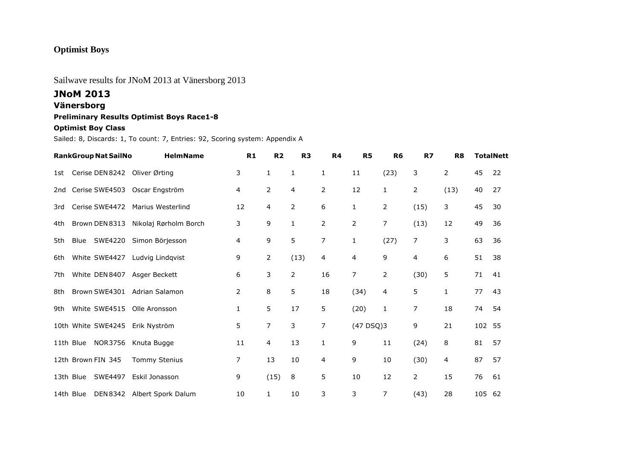## **Optimist Boys**

### Sailwave results for JNoM 2013 at Vänersborg 2013

# **JNoM 2013**

### **Vänersborg**

#### **Preliminary Results Optimist Boys Race1-8**

#### **Optimist Boy Class**

Sailed: 8, Discards: 1, To count: 7, Entries: 92, Scoring system: Appendix A

|     | <b>RankGroup Nat SailNo</b>   | <b>HelmName</b>             | R1 | R <sub>2</sub> | R <sub>3</sub> | R4             | R <sub>5</sub> | R <sub>6</sub> | R7             | R <sub>8</sub> |        | <b>TotalNett</b> |
|-----|-------------------------------|-----------------------------|----|----------------|----------------|----------------|----------------|----------------|----------------|----------------|--------|------------------|
| 1st | Cerise DEN 8242 Oliver Ørting |                             | 3  | $\mathbf{1}$   | 1              | $\mathbf{1}$   | 11             | (23)           | 3              | 2              | 45     | 22               |
| 2nd | Cerise SWE4503                | Oscar Engström              | 4  | 2              | 4              | 2              | 12             | $\mathbf{1}$   | 2              | (13)           | 40     | 27               |
| 3rd | Cerise SWE4472                | Marius Westerlind           | 12 | 4              | $\overline{2}$ | 6              | 1              | 2              | (15)           | 3              | 45     | 30               |
| 4th | Brown DEN 8313                | Nikolaj Rørholm Borch       | 3  | 9              | $\mathbf{1}$   | $\overline{2}$ | 2              | 7              | (13)           | 12             | 49     | 36               |
| 5th | SWE4220<br>Blue               | Simon Börjesson             | 4  | 9              | 5              | $\overline{7}$ | 1              | (27)           | 7              | 3              | 63     | 36               |
| 6th | White SWE4427                 | Ludvig Lindgvist            | 9  | $\overline{2}$ | (13)           | 4              | 4              | 9              | 4              | 6              | 51     | 38               |
| 7th | White DEN 8407                | Asger Beckett               | 6  | 3              | $\overline{2}$ | 16             | 7              | 2              | (30)           | 5              | 71     | 41               |
| 8th | Brown SWE4301                 | Adrian Salamon              | 2  | 8              | 5              | 18             | (34)           | 4              | 5              | 1              | 77     | 43               |
| 9th | White SWE4515                 | Olle Aronsson               | 1  | 5              | 17             | 5              | (20)           | 1              | 7              | 18             | 74     | 54               |
|     | 10th White SWE4245            | Erik Nyström                | 5  | $\overline{7}$ | 3              | 7              | (47DSQ)3       |                | 9              | 21             | 102 55 |                  |
|     | 11th Blue<br>NOR3756          | Knuta Bugge                 | 11 | 4              | 13             | $\mathbf{1}$   | 9              | 11             | (24)           | 8              | 81     | 57               |
|     | 12th Brown FIN 345            | <b>Tommy Stenius</b>        | 7  | 13             | 10             | 4              | 9              | 10             | (30)           | 4              | 87     | 57               |
|     | SWE4497<br>13th Blue          | Eskil Jonasson              | 9  | (15)           | 8              | 5              | 10             | 12             | $\overline{2}$ | 15             | 76     | 61               |
|     | 14th Blue                     | DEN 8342 Albert Spork Dalum | 10 | 1              | 10             | 3              | 3              | 7              | (43)           | 28             | 105 62 |                  |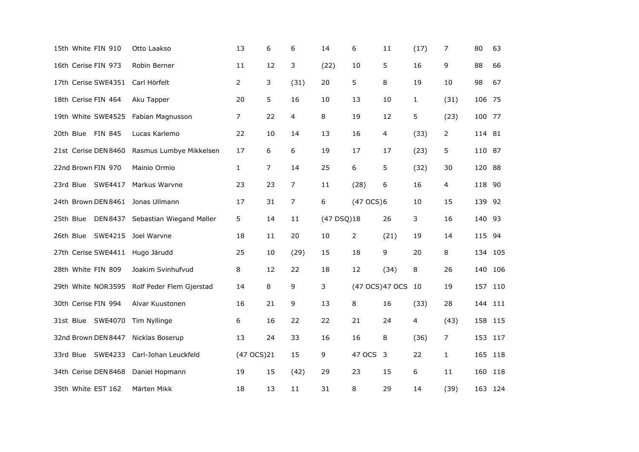| 15th White FIN 910                     | Otto Laakso                       | 13             | 6  | 6    | 14         | 6              | 11              | (17)         | 7            | 80      | 63      |
|----------------------------------------|-----------------------------------|----------------|----|------|------------|----------------|-----------------|--------------|--------------|---------|---------|
| 16th Cerise FIN 973                    | Robin Berner                      | 11             | 12 | 3    | (22)       | 10             | 5               | 16           | 9            | 88      | 66      |
| 17th Cerise SWE4351                    | Carl Hörfelt                      | $\overline{2}$ | 3  | (31) | 20         | 5              | 8               | 19           | 10           | 98      | 67      |
| 18th Cerise FIN 464                    | Aku Tapper                        | 20             | 5  | 16   | 10         | 13             | 10              | $\mathbf{1}$ | (31)         | 106 75  |         |
| 19th White SWE4525                     | Fabian Magnusson                  | $\overline{7}$ | 22 | 4    | 8          | 19             | 12              | 5            | (23)         | 100 77  |         |
| 20th Blue FIN 845                      | Lucas Karlemo                     | 22             | 10 | 14   | 13         | 16             | 4               | (33)         | 2            | 114 81  |         |
| 21st Cerise DEN 8460                   | Rasmus Lumbye Mikkelsen           | 17             | 6  | 6    | 19         | 17             | 17              | (23)         | 5            | 110 87  |         |
| 22nd Brown FIN 970                     | Mainio Ormio                      | $\mathbf{1}$   | 7  | 14   | 25         | 6              | 5               | (32)         | 30           | 120 88  |         |
| 23rd Blue SWE4417                      | Markus Warvne                     | 23             | 23 | 7    | 11         | (28)           | 6               | 16           | 4            | 118 90  |         |
| 24th Brown DEN 8461 Jonas Ullmann      |                                   | 17             | 31 | 7    | 6          | (47 OCS)6      |                 | 10           | 15           | 139 92  |         |
| 25th Blue                              | DEN 8437 Sebastian Wiegand Møller | 5              | 14 | 11   | (47 DSQ)18 |                | 26              | 3            | 16           | 140 93  |         |
| 26th Blue SWE4215                      | Joel Warvne                       | 18             | 11 | 20   | 10         | $\overline{2}$ | (21)            | 19           | 14           | 115 94  |         |
| 27th Cerise SWE4411 Hugo Järudd        |                                   | 25             | 10 | (29) | 15         | 18             | 9               | 20           | 8            |         | 134 105 |
| 28th White FIN 809                     | Joakim Svinhufvud                 | 8              | 12 | 22   | 18         | 12             | (34)            | 8            | 26           |         | 140 106 |
| 29th White NOR3595                     | Rolf Peder Flem Gjerstad          | 14             | 8  | 9    | 3          |                | (47 OCS) 47 OCS | 10           | 19           |         | 157 110 |
| 30th Cerise FIN 994                    | Alvar Kuustonen                   | 16             | 21 | 9    | 13         | 8              | 16              | (33)         | 28           |         | 144 111 |
| 31st Blue SWE4070                      | Tim Nyllinge                      | 6              | 16 | 22   | 22         | 21             | 24              | 4            | (43)         | 158 115 |         |
| 32nd Brown DEN 8447                    | Nicklas Boserup                   | 13             | 24 | 33   | 16         | 16             | 8               | (36)         | 7            | 153 117 |         |
| 33rd Blue SWE4233 Carl-Johan Leuckfeld |                                   | (47 OCS)21     |    | 15   | 9          | 47 OCS 3       |                 | 22           | $\mathbf{1}$ | 165 118 |         |
| 34th Cerise DEN 8468                   | Daniel Hopmann                    | 19             | 15 | (42) | 29         | 23             | 15              | 6            | 11           |         | 160 118 |
| 35th White EST 162                     | Märten Mikk                       | 18             | 13 | 11   | 31         | 8              | 29              | 14           | (39)         |         | 163 124 |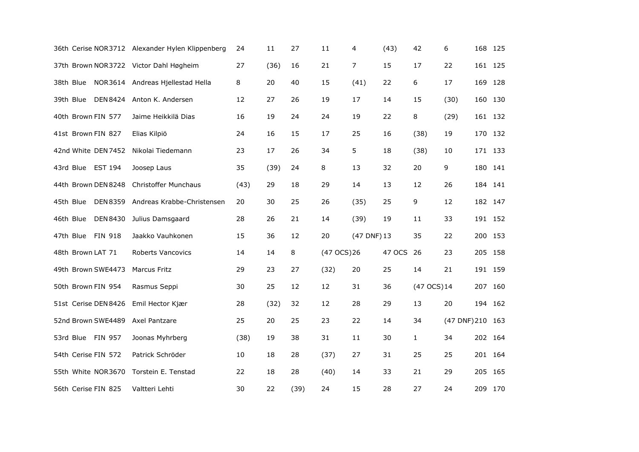|                                        | 36th Cerise NOR3712 Alexander Hylen Klippenberg | 24   | 11   | 27   | 11          | 4              | (43)   | 42           | 6                | 168 125 |  |
|----------------------------------------|-------------------------------------------------|------|------|------|-------------|----------------|--------|--------------|------------------|---------|--|
| 37th Brown NOR3722 Victor Dahl Høgheim |                                                 | 27   | (36) | 16   | 21          | $\overline{7}$ | 15     | 17           | 22               | 161 125 |  |
| 38th Blue                              | NOR3614 Andreas Hjellestad Hella                | 8    | 20   | 40   | 15          | (41)           | 22     | 6            | 17               | 169 128 |  |
| 39th Blue                              | DEN 8424 Anton K. Andersen                      | 12   | 27   | 26   | 19          | 17             | 14     | 15           | (30)             | 160 130 |  |
| 40th Brown FIN 577                     | Jaime Heikkilä Dias                             | 16   | 19   | 24   | 24          | 19             | 22     | 8            | (29)             | 161 132 |  |
| 41st Brown FIN 827                     | Elias Kilpiö                                    | 24   | 16   | 15   | 17          | 25             | 16     | (38)         | 19               | 170 132 |  |
| 42nd White DEN7452 Nikolai Tiedemann   |                                                 | 23   | 17   | 26   | 34          | 5              | 18     | (38)         | 10               | 171 133 |  |
| 43rd Blue EST 194                      | Joosep Laus                                     | 35   | (39) | 24   | 8           | 13             | 32     | 20           | 9                | 180 141 |  |
| 44th Brown DEN 8248                    | <b>Christoffer Munchaus</b>                     | (43) | 29   | 18   | 29          | 14             | 13     | 12           | 26               | 184 141 |  |
| 45th Blue<br>DEN 8359                  | Andreas Krabbe-Christensen                      | 20   | 30   | 25   | 26          | (35)           | 25     | 9            | 12               | 182 147 |  |
| DEN 8430<br>46th Blue                  | Julius Damsgaard                                | 28   | 26   | 21   | 14          | (39)           | 19     | 11           | 33               | 191 152 |  |
| <b>FIN 918</b><br>47th Blue            | Jaakko Vauhkonen                                | 15   | 36   | 12   | 20          | (47 DNF) 13    |        | 35           | 22               | 200 153 |  |
| 48th Brown LAT 71                      | Roberts Vancovics                               | 14   | 14   | 8    | (47 OCS) 26 |                | 47 OCS | 26           | 23               | 205 158 |  |
| 49th Brown SWE4473                     | <b>Marcus Fritz</b>                             | 29   | 23   | 27   | (32)        | 20             | 25     | 14           | 21               | 191 159 |  |
| 50th Brown FIN 954                     | Rasmus Seppi                                    | 30   | 25   | 12   | 12          | 31             | 36     | (47 OCS)14   |                  | 207 160 |  |
| 51st Cerise DEN 8426                   | Emil Hector Kjær                                | 28   | (32) | 32   | 12          | 28             | 29     | 13           | 20               | 194 162 |  |
| 52nd Brown SWE4489 Axel Pantzare       |                                                 | 25   | 20   | 25   | 23          | 22             | 14     | 34           | (47 DNF) 210 163 |         |  |
| 53rd Blue FIN 957                      | Joonas Myhrberg                                 | (38) | 19   | 38   | 31          | 11             | 30     | $\mathbf{1}$ | 34               | 202 164 |  |
| 54th Cerise FIN 572                    | Patrick Schröder                                | 10   | 18   | 28   | (37)        | 27             | 31     | 25           | 25               | 201 164 |  |
| 55th White NOR3670                     | Torstein E. Tenstad                             | 22   | 18   | 28   | (40)        | 14             | 33     | 21           | 29               | 205 165 |  |
| 56th Cerise FIN 825                    | Valtteri Lehti                                  | 30   | 22   | (39) | 24          | 15             | 28     | 27           | 24               | 209 170 |  |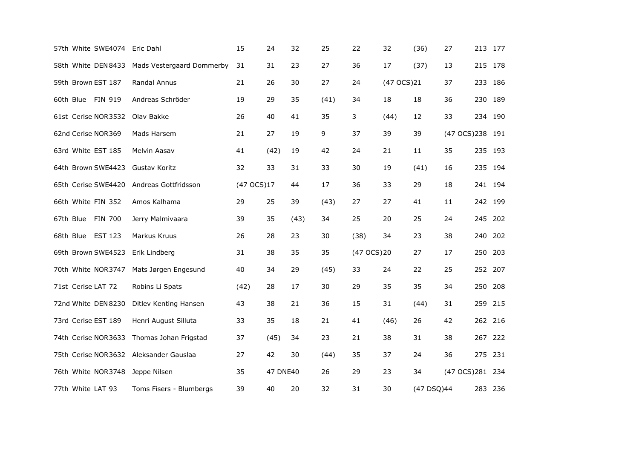| 57th White SWE4074 Eric Dahl           |                           | 15         | 24       | 32   | 25   | 22          | 32         | (36)       | 27               |         | 213 177 |
|----------------------------------------|---------------------------|------------|----------|------|------|-------------|------------|------------|------------------|---------|---------|
| 58th White DEN8433                     | Mads Vestergaard Dommerby | 31         | 31       | 23   | 27   | 36          | 17         | (37)       | 13               |         | 215 178 |
| 59th Brown EST 187                     | Randal Annus              | 21         | 26       | 30   | 27   | 24          | (47 OCS)21 |            | 37               | 233     | 186     |
| 60th Blue FIN 919                      | Andreas Schröder          | 19         | 29       | 35   | (41) | 34          | 18         | 18         | 36               | 230 189 |         |
| 61st Cerise NOR3532                    | Olav Bakke                | 26         | 40       | 41   | 35   | 3           | (44)       | 12         | 33               |         | 234 190 |
| 62nd Cerise NOR369                     | Mads Harsem               | 21         | 27       | 19   | 9    | 37          | 39         | 39         | (47 OCS)238 191  |         |         |
| 63rd White EST 185                     | Melvin Aasav              | 41         | (42)     | 19   | 42   | 24          | 21         | 11         | 35               |         | 235 193 |
| 64th Brown SWE4423                     | Gustav Koritz             | 32         | 33       | 31   | 33   | 30          | 19         | (41)       | 16               |         | 235 194 |
| 65th Cerise SWE4420                    | Andreas Gottfridsson      | (47 OCS)17 |          | 44   | 17   | 36          | 33         | 29         | 18               | 241 194 |         |
| 66th White FIN 352                     | Amos Kalhama              | 29         | 25       | 39   | (43) | 27          | 27         | 41         | 11               |         | 242 199 |
| 67th Blue<br><b>FIN 700</b>            | Jerry Malmivaara          | 39         | 35       | (43) | 34   | 25          | 20         | 25         | 24               |         | 245 202 |
| 68th Blue EST 123                      | Markus Kruus              | 26         | 28       | 23   | 30   | (38)        | 34         | 23         | 38               |         | 240 202 |
| 69th Brown SWE4523                     | Erik Lindberg             | 31         | 38       | 35   | 35   | (47 OCS) 20 |            | 27         | 17               | 250     | 203     |
| 70th White NOR3747                     | Mats Jørgen Engesund      | 40         | 34       | 29   | (45) | 33          | 24         | 22         | 25               | 252 207 |         |
| 71st Cerise LAT 72                     | Robins Li Spats           | (42)       | 28       | 17   | 30   | 29          | 35         | 35         | 34               | 250     | 208     |
| 72nd White DEN8230                     | Ditlev Kenting Hansen     | 43         | 38       | 21   | 36   | 15          | 31         | (44)       | 31               | 259     | 215     |
| 73rd Cerise EST 189                    | Henri August Silluta      | 33         | 35       | 18   | 21   | 41          | (46)       | 26         | 42               |         | 262 216 |
| 74th Cerise NOR3633                    | Thomas Johan Frigstad     | 37         | (45)     | 34   | 23   | 21          | 38         | 31         | 38               |         | 267 222 |
| 75th Cerise NOR3632 Aleksander Gauslaa |                           | 27         | 42       | 30   | (44) | 35          | 37         | 24         | 36               | 275 231 |         |
| 76th White NOR3748                     | Jeppe Nilsen              | 35         | 47 DNE40 |      | 26   | 29          | 23         | 34         | (47 OCS) 281 234 |         |         |
| 77th White LAT 93                      | Toms Fisers - Blumbergs   | 39         | 40       | 20   | 32   | 31          | 30         | (47 DSQ)44 |                  |         | 283 236 |